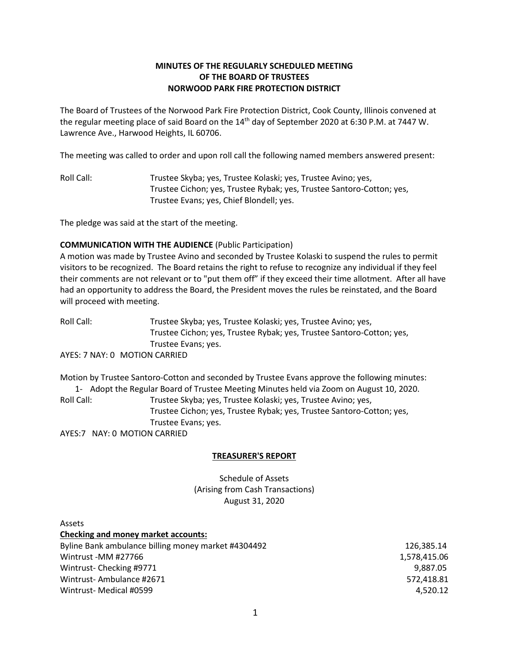# **MINUTES OF THE REGULARLY SCHEDULED MEETING OF THE BOARD OF TRUSTEES NORWOOD PARK FIRE PROTECTION DISTRICT**

The Board of Trustees of the Norwood Park Fire Protection District, Cook County, Illinois convened at the regular meeting place of said Board on the 14<sup>th</sup> day of September 2020 at 6:30 P.M. at 7447 W. Lawrence Ave., Harwood Heights, IL 60706.

The meeting was called to order and upon roll call the following named members answered present:

Roll Call: Trustee Skyba; yes, Trustee Kolaski; yes, Trustee Avino; yes, Trustee Cichon; yes, Trustee Rybak; yes, Trustee Santoro-Cotton; yes, Trustee Evans; yes, Chief Blondell; yes.

The pledge was said at the start of the meeting.

## **COMMUNICATION WITH THE AUDIENCE** (Public Participation)

A motion was made by Trustee Avino and seconded by Trustee Kolaski to suspend the rules to permit visitors to be recognized. The Board retains the right to refuse to recognize any individual if they feel their comments are not relevant or to "put them off" if they exceed their time allotment. After all have had an opportunity to address the Board, the President moves the rules be reinstated, and the Board will proceed with meeting.

Roll Call: Trustee Skyba; yes, Trustee Kolaski; yes, Trustee Avino; yes, Trustee Cichon; yes, Trustee Rybak; yes, Trustee Santoro-Cotton; yes, Trustee Evans; yes.

AYES: 7 NAY: 0 MOTION CARRIED

Motion by Trustee Santoro-Cotton and seconded by Trustee Evans approve the following minutes: 1- Adopt the Regular Board of Trustee Meeting Minutes held via Zoom on August 10, 2020. Roll Call: Trustee Skyba; yes, Trustee Kolaski; yes, Trustee Avino; yes, Trustee Cichon; yes, Trustee Rybak; yes, Trustee Santoro-Cotton; yes, Trustee Evans; yes. AYES:7 NAY: 0 MOTION CARRIED

## **TREASURER'S REPORT**

Schedule of Assets (Arising from Cash Transactions) August 31, 2020

| <b>Assets</b>                                       |              |
|-----------------------------------------------------|--------------|
| <b>Checking and money market accounts:</b>          |              |
| Byline Bank ambulance billing money market #4304492 | 126.385.14   |
| Wintrust-MM #27766                                  | 1,578,415.06 |
| Wintrust-Checking #9771                             | 9.887.05     |
| Wintrust-Ambulance #2671                            | 572,418.81   |
| Wintrust-Medical #0599                              | 4.520.12     |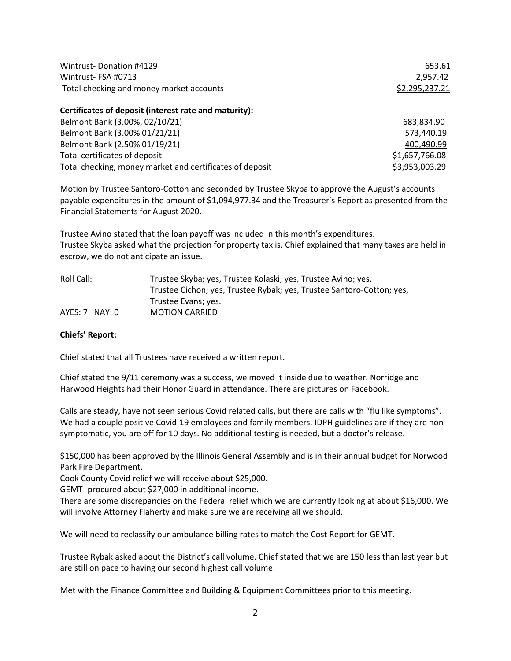| Wintrust-Donation #4129                                  | 653.61         |  |
|----------------------------------------------------------|----------------|--|
| Wintrust-FSA #0713                                       | 2,957.42       |  |
| Total checking and money market accounts                 | \$2,295,237.21 |  |
| Certificates of deposit (interest rate and maturity):    |                |  |
| Belmont Bank (3.00%, 02/10/21)                           | 683,834.90     |  |
| Belmont Bank (3.00% 01/21/21)                            | 573,440.19     |  |
| Belmont Bank (2.50% 01/19/21)                            | 400,490.99     |  |
| Total certificates of deposit                            | \$1,657,766.08 |  |
| Total checking, money market and certificates of deposit | \$3,953,003.29 |  |

Motion by Trustee Santoro-Cotton and seconded by Trustee Skyba to approve the August's accounts payable expenditures in the amount of \$1,094,977.34 and the Treasurer's Report as presented from the Financial Statements for August 2020.

Trustee Avino stated that the loan payoff was included in this month's expenditures. Trustee Skyba asked what the projection for property tax is. Chief explained that many taxes are held in escrow, we do not anticipate an issue.

| Roll Call:       | Trustee Skyba; yes, Trustee Kolaski; yes, Trustee Avino; yes,         |
|------------------|-----------------------------------------------------------------------|
|                  | Trustee Cichon; yes, Trustee Rybak; yes, Trustee Santoro-Cotton; yes, |
|                  | Trustee Evans; yes.                                                   |
| $AYES: 7$ NAY: 0 | <b>MOTION CARRIED</b>                                                 |

#### **Chiefs' Report:**

Chief stated that all Trustees have received a written report.

Chief stated the 9/11 ceremony was a success, we moved it inside due to weather. Norridge and Harwood Heights had their Honor Guard in attendance. There are pictures on Facebook.

Calls are steady, have not seen serious Covid related calls, but there are calls with "flu like symptoms". We had a couple positive Covid-19 employees and family members. IDPH guidelines are if they are nonsymptomatic, you are off for 10 days. No additional testing is needed, but a doctor's release.

\$150,000 has been approved by the Illinois General Assembly and is in their annual budget for Norwood Park Fire Department.

Cook County Covid relief we will receive about \$25,000.

GEMT- procured about \$27,000 in additional income.

There are some discrepancies on the Federal relief which we are currently looking at about \$16,000. We will involve Attorney Flaherty and make sure we are receiving all we should.

We will need to reclassify our ambulance billing rates to match the Cost Report for GEMT.

Trustee Rybak asked about the District's call volume. Chief stated that we are 150 less than last year but are still on pace to having our second highest call volume.

Met with the Finance Committee and Building & Equipment Committees prior to this meeting.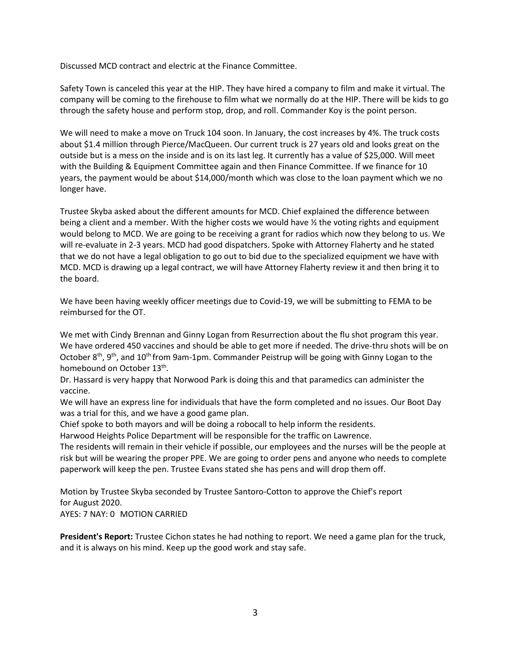Discussed MCD contract and electric at the Finance Committee.

Safety Town is canceled this year at the HIP. They have hired a company to film and make it virtual. The company will be coming to the firehouse to film what we normally do at the HIP. There will be kids to go through the safety house and perform stop, drop, and roll. Commander Koy is the point person.

We will need to make a move on Truck 104 soon. In January, the cost increases by 4%. The truck costs about \$1.4 million through Pierce/MacQueen. Our current truck is 27 years old and looks great on the outside but is a mess on the inside and is on its last leg. It currently has a value of \$25,000. Will meet with the Building & Equipment Committee again and then Finance Committee. If we finance for 10 years, the payment would be about \$14,000/month which was close to the loan payment which we no longer have.

Trustee Skyba asked about the different amounts for MCD. Chief explained the difference between being a client and a member. With the higher costs we would have ½ the voting rights and equipment would belong to MCD. We are going to be receiving a grant for radios which now they belong to us. We will re-evaluate in 2-3 years. MCD had good dispatchers. Spoke with Attorney Flaherty and he stated that we do not have a legal obligation to go out to bid due to the specialized equipment we have with MCD. MCD is drawing up a legal contract, we will have Attorney Flaherty review it and then bring it to the board.

We have been having weekly officer meetings due to Covid-19, we will be submitting to FEMA to be reimbursed for the OT.

We met with Cindy Brennan and Ginny Logan from Resurrection about the flu shot program this year. We have ordered 450 vaccines and should be able to get more if needed. The drive-thru shots will be on October 8<sup>th</sup>, 9<sup>th</sup>, and 10<sup>th</sup> from 9am-1pm. Commander Peistrup will be going with Ginny Logan to the homebound on October 13<sup>th</sup>.

Dr. Hassard is very happy that Norwood Park is doing this and that paramedics can administer the vaccine.

We will have an express line for individuals that have the form completed and no issues. Our Boot Day was a trial for this, and we have a good game plan.

Chief spoke to both mayors and will be doing a robocall to help inform the residents.

Harwood Heights Police Department will be responsible for the traffic on Lawrence.

The residents will remain in their vehicle if possible, our employees and the nurses will be the people at risk but will be wearing the proper PPE. We are going to order pens and anyone who needs to complete paperwork will keep the pen. Trustee Evans stated she has pens and will drop them off.

Motion by Trustee Skyba seconded by Trustee Santoro-Cotton to approve the Chief's report for August 2020.

AYES: 7 NAY: 0 MOTION CARRIED

**President's Report:** Trustee Cichon states he had nothing to report. We need a game plan for the truck, and it is always on his mind. Keep up the good work and stay safe.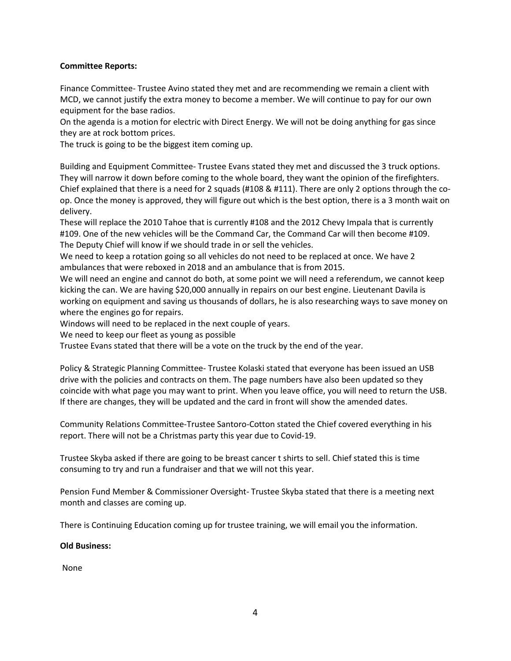## **Committee Reports:**

Finance Committee- Trustee Avino stated they met and are recommending we remain a client with MCD, we cannot justify the extra money to become a member. We will continue to pay for our own equipment for the base radios.

On the agenda is a motion for electric with Direct Energy. We will not be doing anything for gas since they are at rock bottom prices.

The truck is going to be the biggest item coming up.

Building and Equipment Committee- Trustee Evans stated they met and discussed the 3 truck options. They will narrow it down before coming to the whole board, they want the opinion of the firefighters. Chief explained that there is a need for 2 squads (#108 & #111). There are only 2 options through the coop. Once the money is approved, they will figure out which is the best option, there is a 3 month wait on delivery.

These will replace the 2010 Tahoe that is currently #108 and the 2012 Chevy Impala that is currently #109. One of the new vehicles will be the Command Car, the Command Car will then become #109. The Deputy Chief will know if we should trade in or sell the vehicles.

We need to keep a rotation going so all vehicles do not need to be replaced at once. We have 2 ambulances that were reboxed in 2018 and an ambulance that is from 2015.

We will need an engine and cannot do both, at some point we will need a referendum, we cannot keep kicking the can. We are having \$20,000 annually in repairs on our best engine. Lieutenant Davila is working on equipment and saving us thousands of dollars, he is also researching ways to save money on where the engines go for repairs.

Windows will need to be replaced in the next couple of years.

We need to keep our fleet as young as possible

Trustee Evans stated that there will be a vote on the truck by the end of the year.

Policy & Strategic Planning Committee- Trustee Kolaski stated that everyone has been issued an USB drive with the policies and contracts on them. The page numbers have also been updated so they coincide with what page you may want to print. When you leave office, you will need to return the USB. If there are changes, they will be updated and the card in front will show the amended dates.

Community Relations Committee-Trustee Santoro-Cotton stated the Chief covered everything in his report. There will not be a Christmas party this year due to Covid-19.

Trustee Skyba asked if there are going to be breast cancer t shirts to sell. Chief stated this is time consuming to try and run a fundraiser and that we will not this year.

Pension Fund Member & Commissioner Oversight- Trustee Skyba stated that there is a meeting next month and classes are coming up.

There is Continuing Education coming up for trustee training, we will email you the information.

**Old Business:**

None